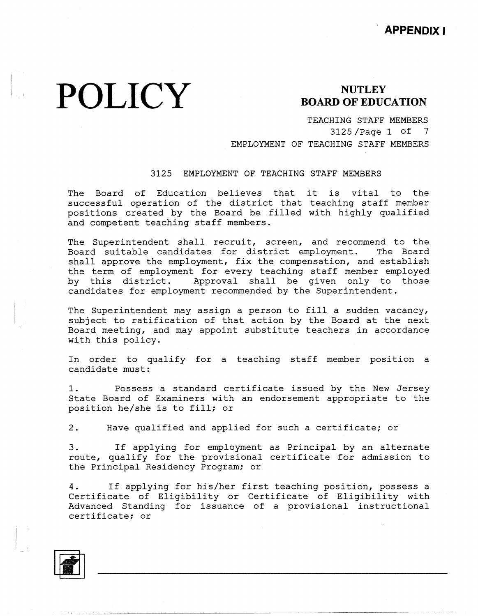# **POLICY** BOARD OF EDUCATION

TEACHING STAFF MEMBERS 3125 /Page 1 of 7 EMPLOYMENT OF TEACHING STAFF MEMBERS

### 3125 EMPLOYMENT OF TEACHING STAFF MEMBERS

The Board of Education believes that it is vital to the successful operation of the district that teaching staff member positions created by the Board be filled with highly qualif: and competent teaching staff members.

The Superintendent shall recruit, screen, and recommend to the Board suitable candidates for district employment. The Board shall approve the employment, fix the compensation, and establish the term of employment for every teaching staff member employed by this district. Approval shall be given only to those candidates for employment recommended by the Superintendent.

The Superintendent may assign a person to fill a sudden vacancy, subject to ratification of that action by the Board at the next Board meeting, and may appoint substitute teachers in accordance with this policy.

In order to qualify for a teaching staff member position a candidate must:

1. Possess a standard certificate issued by the New Jersey State Board of Examiners with an endorsement appropriate to the position he/she is to fill; or

2. Have qualified and applied for such a certificate; or

3. If applying for employment as Principal by an alternate route, qualify for the provisional certificate for admission to the Principal Residency Program; or

4. If applying for his/her first teaching position, possess a Certificate of Eligibility or Certificate of Eligibility with Advanced Standing for issuance of a provisional instructional certificate; or



 $\Box$  III  $\Box$  ,  $\Box$  ,  $\Box$  ,  $\Box$  . III  $\Box$  . III and the  $\Box$  ,  $\Box$  . III and the  $\Box$  . III and the  $\Box$  . III and  $\Box$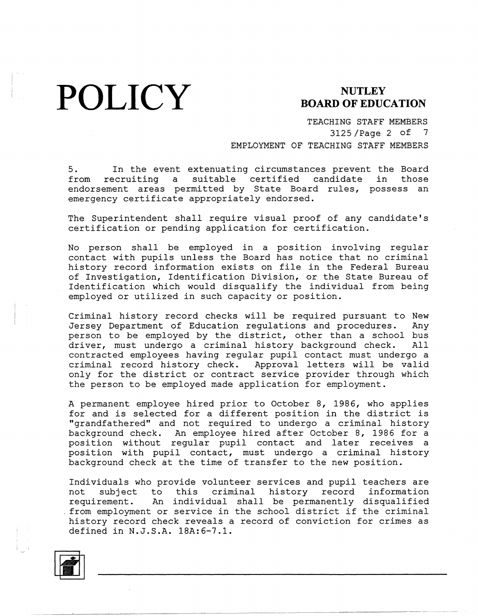**POLICY** BOARD OF EDUC

## **BOARD OF EDUCATION**

TEACHING STAFF MEMBERS 3125 /Page 2 of 7 EMPLOYMENT OF TEACHING STAFF MEMBERS

5. In the event extenuating circumstances prevent the Board from recruiting a suitable certified candidate in those endorsement areas permitted by State Board rules, possess an emergency certificate appropriately endorsed.

The Superintendent shall require visual proof of any candidate's certification or pending application for certification.

No person shall be employed in a position involving regular contact with pupils unless the Board has notice that no criminal history record information exists on file in the Federal Bureau of Investigation, Identification Division, or the State Bureau of Identification which would disqualify the individual from being employed or utilized in such capacity or position.

Criminal history record checks will be required pursuant to New Jersey Department of Education regulations and procedures. Any person to be employed by the district, other than a school bus driver, must undergo a criminal history background check. All contracted employees having regular pupil contact must undergo a<br>criminal record history check. Approval letters will be valid criminal record history check. only for the district or contract service provider through which the person to be employed made application for employment.

A permanent employee hired prior to October 8, 1986, who applies for and is selected for a different position in the district is "grandfathered" and not required to undergo a criminal history background check. An employee hired after October 8, 1986 for a position without regular pupil contact and later receives a position with pupil contact, must undergo a criminal history background check at the time of transfer to the new position.

Individuals who provide volunteer services and pupil teachers are not subject to this criminal history record information requirement. An individual shall be permanently disqualified . from employment or service in the school district if the criminal history record check reveals a record of conviction for crimes as defined in N.J.S.A. 18A:6-7.l.

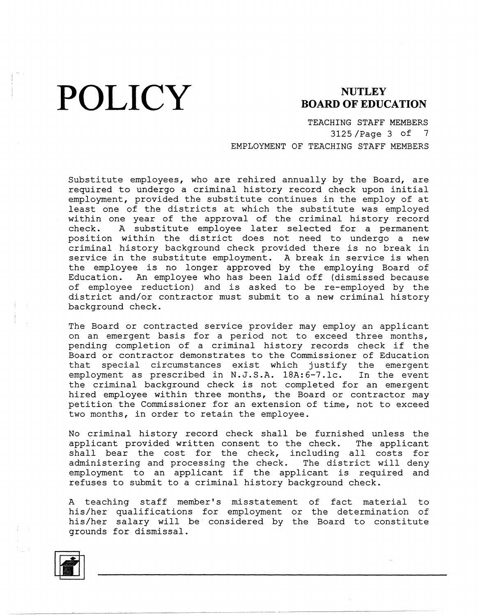**POLICY** BOARD OF EDUCATION

TEACHING STAFF MEMBERS 3125 /Page 3 of 7 EMPLOYMENT OF TEACHING STAFF MEMBERS

Substitute employees, who are rehired annually by the Board, are required to undergo a criminal history record check upon initial employment, provided the substitute continues in the employ of at least one of the districts at which the substitute was employed within one year of the approval of the criminal history record check. A substitute employee later selected for a permanent position within the district does not need to undergo a new criminal history background check provided there is no break in service in the substitute employment. A break in service is when the employee is no longer approved by the employing Board of Education. An employee who has been laid off {dismissed because of employee reduction) and is asked to be re-employed by the district and/or contractor must submit to a new criminal history background check.

The Board or contracted service provider may employ an applicant on an emergent basis for a period not to exceed three months, pending completion of a criminal history records check if the Board or contractor demonstrates to the Commissioner of Education that special circumstances exist which justify the emergent employment as prescribed in N.J.S.A. 18A:6-7.lc. In the event the criminal background check is not completed for an emergent hired employee within three months, the Board or contractor may petition the Commissioner for an extension of time, not to exceed two months, in order to retain the employee.

No criminal history record check shall be furnished unless the applicant provided written consent to the check. The applicant shall bear the cost for the check, including all costs for administering and processing the check. The district will deny employment to an applicant if the applicant is required and refuses to submit to a criminal history background check.

A teaching staff member's misstatement of fact material to his/her qualifications for employment or the determination of his/her salary will be considered by the Board to constit grounds for dismissal.

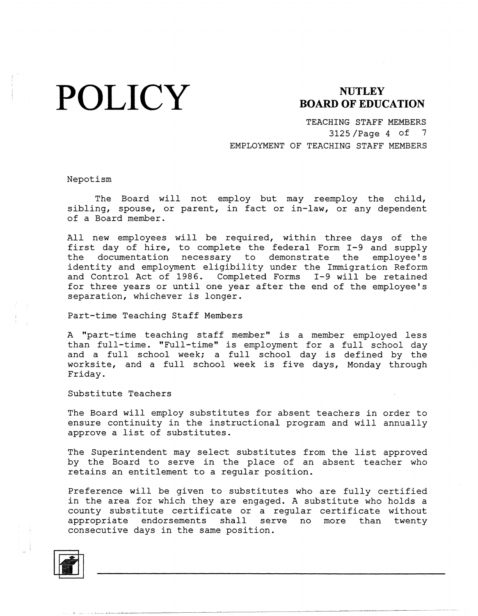# **POLICY**

### **NUTLEY BOARD OF EDUCATION**

TEACHING STAFF MEMBERS 3125 /Page 4 of 7 EMPLOYMENT OF TEACHING STAFF MEMBERS

Nepotism

The Board will not employ but may reemploy the child, sibling, spouse, or parent, in fact or in-law, or any dependent of a Board member.

All new employees will be required, within three days of the first day of hire, to complete the federal Form I-9 and supply the documentation necessary to demonstrate the employee's identity and employment eligibility under the Immigration Reform and Control Act of 1986. Completed Forms I-9 will be retained for three years or until one year after the end of the employee's separation, whichever is longer.

Part-time Teaching Staff Members

A "part-time teaching staff member" is a member employed less than full-time. "Full-time" is employment for a full school day and a full school week; a full school day is defined by the worksite, and a full school week is five days, Monday through Friday.

Substitute Teachers

The Board will employ substitutes for absent teachers in order to ensure continuity in the instructional program and will annually approve a list of substitutes.

The Superintendent may select substitutes from the list approved by the Board to serve in the place of an absent teacher who retains an entitlement to a regular position.

Preference will be given to substitutes who are fully certified in the area for which they are engaged. A substitute who holds a county substitute certificate or a regular certificate without appropriate endorsements shall serve no more than twenty consecutive days in the same position.

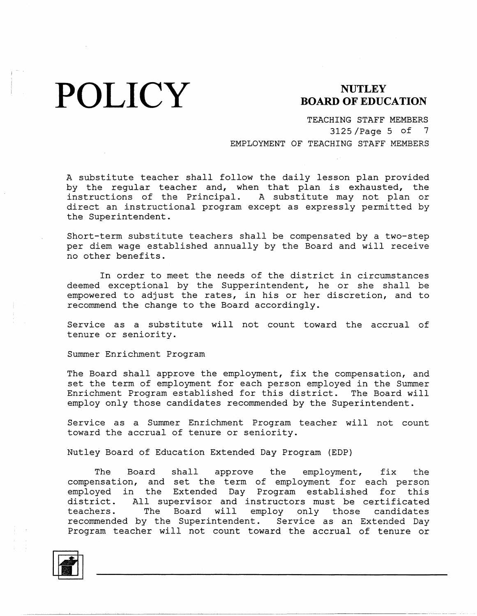**POLICY** BOARD OF EDUC

### **BOARD OF EDUCATION**

TEACHING STAFF MEMBERS 3125 /Page 5 of 7 EMPLOYMENT OF TEACHING STAFF MEMBERS

A substitute teacher shall follow the daily lesson plan provided by the regular teacher and, when that plan is exhausted, the instructions of the Principal. A substitute may not plan or direct an instructional program except as expressly permitted by the Superintendent.

Short-term substitute teachers shall be compensated by a two-step per diem wage established annually by the Board and will receive no other benefits.

In order to meet the needs of the district in circumstances deemed exceptional by the Supperintendent, he or she shall be empowered to adjust the rates, in his or her discretion, and to recommend the change to the Board accordingly.

Service as a substitute will not count toward the accrual of tenure or seniority.

Summer Enrichment Program

The Board shall approve the employment, fix the compensation, and set the term of employment for each person employed in the Summer Enrichment Program established for this district. The Board will employ only those candidates recommended by the Superintendent.

Service as a Summer Enrichment Program teacher will not count toward the accrual of tenure or seniority.

Nutley Board of Education Extended Day Program (EDP)

The Board shall approve the employment, fix the compensation, and set the term of employment for each person employed in the Extended Day Program established for this district. All supervisor and instructors must be certificated teachers. The Board will employ only those candidates<br>recommended by the Superintendent. Service as an Extended Day recommended by the Superintendent. Program teacher will not count toward the accrual of tenure or

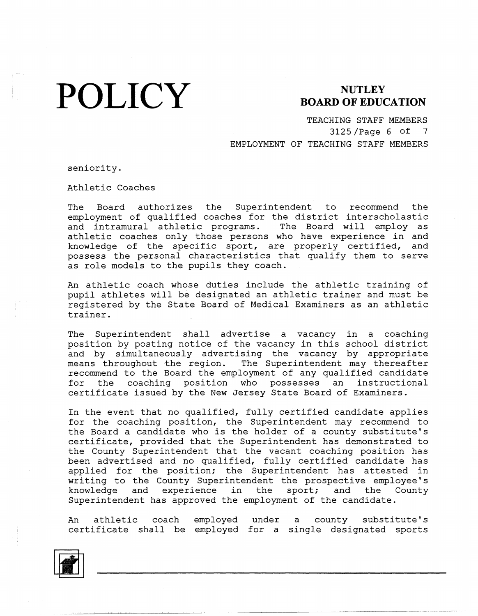# **POLICY**

### **NUTLEY BOARD OF EDUCATION**

TEACHING STAFF MEMBERS 3125 /Page 6 of 7 EMPLOYMENT OF TEACHING STAFF MEMBERS

seniority.

Athletic Coaches

The Board authorizes the Superintendent to recommend the employment of qualified coaches for the district interscholastic and intramural athletic programs. The Board will employ as athletic coaches only those persons who have experience in and knowledge of the specific sport, are properly certified, and possess the personal characteristics that qualify them to serve as role models to the pupils they coach.

An athletic coach whose duties include the athletic training of pupil athletes will be designated an athletic trainer and must be registered by the State Board of Medical Examiners as an athletic trainer.

The Superintendent shall advertise a vacancy in a coaching position by posting notice of the vacancy in this school district and by simultaneously advertising the vacancy by appropriate means throughout the region. The Superintendent may thereafter recommend to the Board the employment of any qualified candidate for the coaching position who possesses an instructional certificate issued by the New Jersey State Board of Examiners.

In the event that no qualified, fully certified candidate applies for the coaching position, the Superintendent may recommend to the Board a candidate who is the holder of a county substitute's certificate, provided that the Superintendent has demonstrated to the County Superintendent that the vacant coaching position has been advertised and no qualified, fully certified candidate has applied for the position; the Superintendent has attested in writing to the County Superintendent the prospective employee's knowledge and experience in the sport; and the County Superintendent has approved the employment of the candidate.

An athletic coach certificate shall be employed for a single designated sport employed under a county substitu